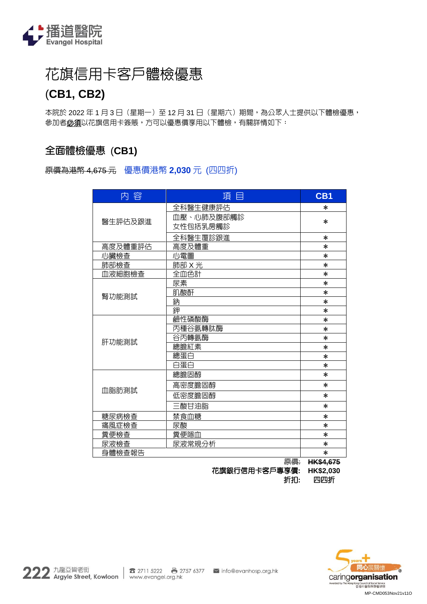

# 花旗信用卡客戶體檢優惠

## (**CB1, CB2)**

本院於 2022 年 1 月 3 日 (星期一)至 12 月 31 日 (星期六)期間,為公眾人士提供以下體檢優惠, 参加者**必須**以花旗信用卡簽賬,方可以優惠價享用以下體檢,有關詳情如下:

## **全面體檢優惠** (**CB1)**

### 原價為港幣 4,675 元 優惠價港幣 **2,030** 元 (四四折)

| 内 容     | 頂 目           | CB <sub>1</sub>  |
|---------|---------------|------------------|
| 醫生評估及跟進 | 全科醫生健康評估      | $\ast$           |
|         | 血壓、心肺及腹部觸診    |                  |
|         | 女性包括乳房觸診      | $\ast$           |
|         | 全科醫生覆診跟進      | $\ast$           |
| 高度及體重評估 | 高度及體重         | $\ast$           |
| 心臟檢查    | 心電圖           | $\ast$           |
| 肺部檢查    | <u>肺部 X 光</u> | $\ast$           |
| 血液細胞檢查  | 全血色計          | $\ast$           |
|         | 尿素            | $\ast$           |
| 腎功能測試   | 肌酸酐           | $\ast$           |
|         | 鈉             | $\ast$           |
|         | 鉀             | $\ast$           |
|         | 鹼性磷酸酶         | $\ast$           |
|         | 丙種谷氨轉肽酶       | $\ast$           |
| 肝功能測試   | 谷丙轉氨酶         | $\ast$           |
|         | 總膽紅素          | $\ast$           |
|         | 總蛋白           | $\ast$           |
|         | 白蛋白           | $\ast$           |
| 血脂肪測試   | 總膽固醇          | $\ast$           |
|         | 高密度膽固醇        | $\ast$           |
|         | 低密度膽固醇        | $\ast$           |
|         | 三酸甘油脂         | $\ast$           |
| 糖尿病檢查   | 禁食血糖          | $\ast$           |
| 痛風症檢查   | 尿酸            | $\ast$           |
| 糞便檢查    | 糞便隱血          | $\ast$           |
| 尿液檢查    | 尿液常規分析        | $\ast$           |
| 身體檢查報告  |               | $\ast$           |
|         | 原價:           | <b>HK\$4,675</b> |



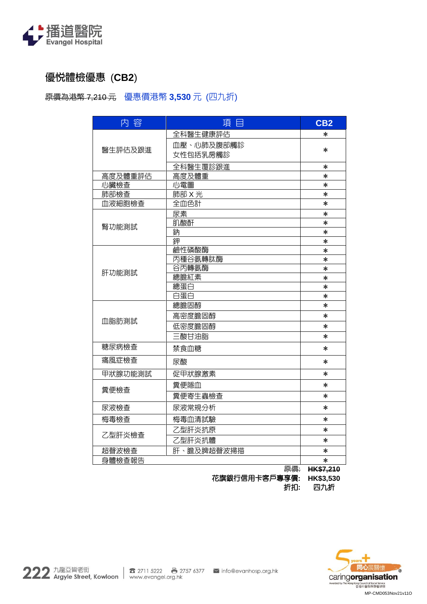

## **優悅體檢優惠** (**CB2**)

原價為港幣 7,210 元 優惠價港幣 **3,530** 元 (四九折)

| 内容      | 項目             | CB2       |  |  |  |
|---------|----------------|-----------|--|--|--|
|         | 全科醫生健康評估       | $\ast$    |  |  |  |
|         | 血壓、心肺及腹部觸診     |           |  |  |  |
| 醫生評估及跟進 | 女性包括乳房觸診       | $\ast$    |  |  |  |
|         | 全科醫生覆診跟進       | $\ast$    |  |  |  |
| 高度及體重評估 | 高度及體重          | $\ast$    |  |  |  |
| 心臟檢查    | 心電圖            | $\ast$    |  |  |  |
| 肺部檢查    | 肺部 X 光         | $\ast$    |  |  |  |
| 血液細胞檢查  | 全血色計<br>$\ast$ |           |  |  |  |
|         | 尿素             | $\ast$    |  |  |  |
| 腎功能測試   | 肌酸酐            | $\ast$    |  |  |  |
|         | 鈉              | $\ast$    |  |  |  |
|         | 鉀              | *         |  |  |  |
|         | 鹼性磷酸酶          | $\ast$    |  |  |  |
|         | 丙種谷氨轉肽酶        | $\ast$    |  |  |  |
| 肝功能測試   | 谷丙轉氨酶          | $\ast$    |  |  |  |
|         | 總膽紅素           | $\ast$    |  |  |  |
|         | 總蛋白            | $\ast$    |  |  |  |
|         | 白蛋白            | $\ast$    |  |  |  |
|         | 總膽固醇           | $\ast$    |  |  |  |
| 血脂肪測試   | 高密度膽固醇         | $\ast$    |  |  |  |
|         | 低密度膽固醇         | $\ast$    |  |  |  |
|         | 三酸甘油脂          | $\ast$    |  |  |  |
| 糖尿病檢查   | 禁食血糖           | $\ast$    |  |  |  |
| 痛風症檢查   | 尿酸             | $\ast$    |  |  |  |
| 甲狀腺功能測試 | 促甲狀腺激素         | $\ast$    |  |  |  |
| 糞便檢查    | 糞便隱血           | $\ast$    |  |  |  |
|         | 糞便寄生蟲檢查        | $\ast$    |  |  |  |
| 尿液檢查    | 尿液常規分析         | $\ast$    |  |  |  |
| 梅毒檢查    | 梅毒血清試驗         | $\ast$    |  |  |  |
|         | 乙型肝炎抗原         | $\ast$    |  |  |  |
| 乙型肝炎檢查  | 乙型肝炎抗體         | $\ast$    |  |  |  |
| 超聲波檢查   | 肝、膽及脾超聲波掃描     | $\ast$    |  |  |  |
| 身體檢查報告  |                | $\ast$    |  |  |  |
|         | 原價:            | HK\$7,210 |  |  |  |

花旗銀行信用卡客戶專享價**: HK\$3,530** 折扣**:** 四九折

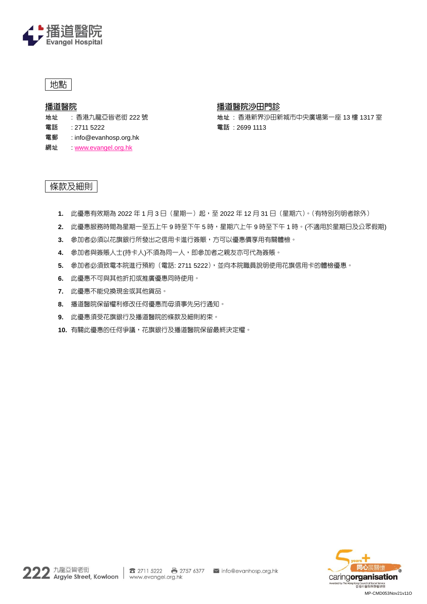

## 地點

#### **播道醫院**

地址 : 香港九龍亞皆老街 222 號

電話 : 2711 5222

#### 電郵 : info@evanhosp.org.hk

網址 **WWW.evangel.org.hk** 

#### **播道醫院沙田門診**

地址 : 香港新界沙田新城市中央廣場第一座 13 樓 1317 室 電話 : 2699 1113

### 條款及細則

- **1.** 此優惠有效期為 2022 年 1 月 3 日(星期一)起,至 2022 年 12 月 31 日(星期六)。(有特別列明者除外)
- **2.** 此優惠服務時間為星期一至五上午 9 時至下午 5 時,星期六上午 9 時至下午 1 時。(不適用於星期日及公眾假期)
- **3.** 參加者必須以花旗銀行所發出之信用卡進行簽賑,方可以優惠價享用有關體檢。
- **4.** 參加者與簽賬人士(持卡人)不須為同一人,即參加者之親友亦可代為簽賬。
- **5.** 參加者必須致電本院進行預約(電話: 2711 5222),並向本院職員說明使用花旗信用卡的體檢優惠。
- **6.** 此優惠不可與其他折扣或推廣優惠同時使用。
- **7.** 此優惠不能兌換現金或其他貨品。
- **8.** 播道醫院保留權利修改任何優惠而毋須事先另行通知。
- **9.** 此優惠須受花旗銀行及播道醫院的條款及細則約束。
- **10.** 有關此優惠的任何爭議,花旗銀行及播道醫院保留最終決定權。

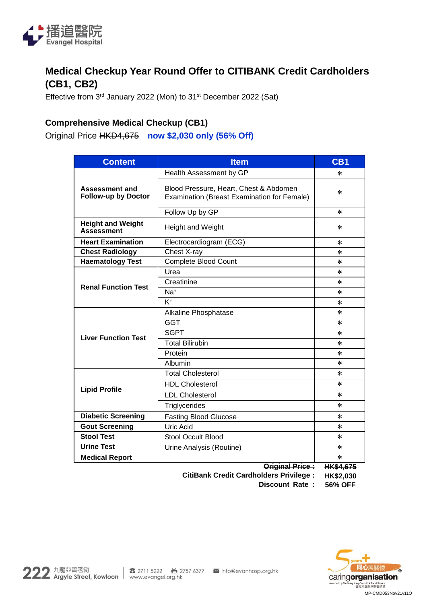

## **Medical Checkup Year Round Offer to CITIBANK Credit Cardholders (CB1, CB2)**

Effective from 3<sup>rd</sup> January 2022 (Mon) to 31<sup>st</sup> December 2022 (Sat)

## **Comprehensive Medical Checkup (CB1)**

Original Price HKD4,675 **now \$2,030 only (56% Off)**

| <b>Content</b>                                      | <b>Item</b>                                                                           | CB <sub>1</sub>  |  |
|-----------------------------------------------------|---------------------------------------------------------------------------------------|------------------|--|
| <b>Assessment and</b><br><b>Follow-up by Doctor</b> | Health Assessment by GP                                                               | *                |  |
|                                                     | Blood Pressure, Heart, Chest & Abdomen<br>Examination (Breast Examination for Female) | $\ast$           |  |
|                                                     | Follow Up by GP                                                                       | $\ast$           |  |
| <b>Height and Weight</b><br><b>Assessment</b>       | Height and Weight                                                                     | $\ast$           |  |
| <b>Heart Examination</b>                            | Electrocardiogram (ECG)                                                               | $\ast$           |  |
| <b>Chest Radiology</b>                              | Chest X-ray                                                                           | $\ast$           |  |
| <b>Haematology Test</b>                             | Complete Blood Count                                                                  | *                |  |
|                                                     | Urea                                                                                  | $\ast$           |  |
| <b>Renal Function Test</b>                          | Creatinine                                                                            | $\ast$           |  |
|                                                     | Na <sup>+</sup>                                                                       | *                |  |
|                                                     | $K^+$                                                                                 | $\ast$           |  |
|                                                     | Alkaline Phosphatase                                                                  | $\ast$           |  |
| <b>Liver Function Test</b>                          | <b>GGT</b>                                                                            | $\ast$           |  |
|                                                     | <b>SGPT</b>                                                                           | *                |  |
|                                                     | <b>Total Bilirubin</b>                                                                | $\ast$           |  |
|                                                     | Protein                                                                               | $\ast$           |  |
|                                                     | Albumin                                                                               | $\ast$           |  |
|                                                     | <b>Total Cholesterol</b>                                                              | *                |  |
|                                                     | <b>HDL Cholesterol</b>                                                                | *                |  |
| <b>Lipid Profile</b>                                | <b>LDL Cholesterol</b>                                                                | $\ast$           |  |
|                                                     | Triglycerides                                                                         | $\ast$           |  |
| <b>Diabetic Screening</b>                           | <b>Fasting Blood Glucose</b>                                                          | $\ast$           |  |
| <b>Gout Screening</b>                               | <b>Uric Acid</b>                                                                      | *                |  |
| <b>Stool Test</b>                                   | <b>Stool Occult Blood</b>                                                             | $\ast$           |  |
| <b>Urine Test</b>                                   | Urine Analysis (Routine)                                                              | *                |  |
| <b>Medical Report</b>                               |                                                                                       | *                |  |
|                                                     | Original Price:                                                                       | <b>HK\$4,675</b> |  |
|                                                     | <b>CitiBank Credit Cardholders Privilege:</b>                                         | HK\$2,030        |  |

**Discount Rate : 56% OFF**

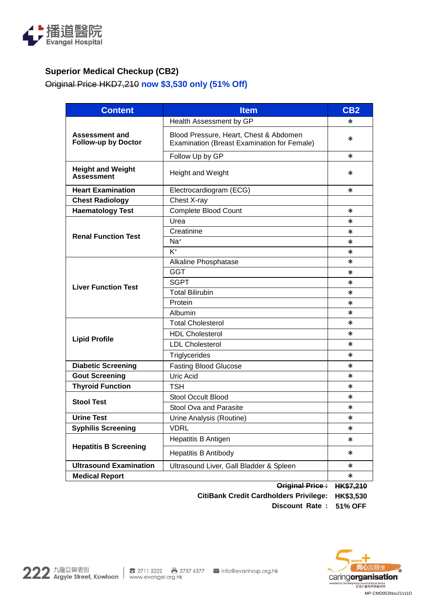

## **Superior Medical Checkup (CB2)**

Original Price HKD7,210 **now \$3,530 only (51% Off)**

| <b>Content</b>                                      | <b>Item</b>                                                                           | CB2    |  |
|-----------------------------------------------------|---------------------------------------------------------------------------------------|--------|--|
| <b>Assessment and</b><br><b>Follow-up by Doctor</b> | Health Assessment by GP                                                               | *      |  |
|                                                     | Blood Pressure, Heart, Chest & Abdomen<br>Examination (Breast Examination for Female) | *      |  |
|                                                     | Follow Up by GP                                                                       | *      |  |
| <b>Height and Weight</b><br><b>Assessment</b>       | <b>Height and Weight</b>                                                              | *      |  |
| <b>Heart Examination</b>                            | Electrocardiogram (ECG)                                                               | $\ast$ |  |
| <b>Chest Radiology</b>                              | Chest X-ray                                                                           |        |  |
| <b>Haematology Test</b>                             | <b>Complete Blood Count</b>                                                           | $\ast$ |  |
|                                                     | Urea                                                                                  | $\ast$ |  |
| <b>Renal Function Test</b>                          | Creatinine                                                                            | *      |  |
|                                                     | Na <sup>+</sup>                                                                       | $\ast$ |  |
|                                                     | $K^+$                                                                                 | *      |  |
|                                                     | Alkaline Phosphatase                                                                  | $\ast$ |  |
|                                                     | GGT                                                                                   | *      |  |
| <b>Liver Function Test</b>                          | <b>SGPT</b>                                                                           | *      |  |
|                                                     | <b>Total Bilirubin</b>                                                                | $\ast$ |  |
|                                                     | Protein                                                                               | $\ast$ |  |
|                                                     | Albumin                                                                               | *      |  |
|                                                     | <b>Total Cholesterol</b>                                                              | $\ast$ |  |
|                                                     | <b>HDL Cholesterol</b>                                                                | *      |  |
| <b>Lipid Profile</b>                                | <b>LDL Cholesterol</b>                                                                | $\ast$ |  |
|                                                     | Triglycerides                                                                         | $\ast$ |  |
| <b>Diabetic Screening</b>                           | <b>Fasting Blood Glucose</b>                                                          | $\ast$ |  |
| <b>Gout Screening</b>                               | <b>Uric Acid</b>                                                                      | $\ast$ |  |
| <b>Thyroid Function</b>                             | <b>TSH</b>                                                                            | *      |  |
|                                                     | <b>Stool Occult Blood</b>                                                             | $\ast$ |  |
| <b>Stool Test</b>                                   | Stool Ova and Parasite                                                                | *      |  |
| <b>Urine Test</b>                                   | Urine Analysis (Routine)                                                              | $\ast$ |  |
| <b>Syphilis Screening</b>                           | <b>VDRL</b>                                                                           | $\ast$ |  |
| <b>Hepatitis B Screening</b>                        | Hepatitis B Antigen                                                                   | $\ast$ |  |
|                                                     | <b>Hepatitis B Antibody</b>                                                           | $\ast$ |  |
| <b>Ultrasound Examination</b>                       | Ultrasound Liver, Gall Bladder & Spleen                                               |        |  |
| <b>Medical Report</b>                               |                                                                                       |        |  |

**Original Price : HK\$7,210**

**CitiBank Credit Cardholders Privilege: HK\$3,530**

**Discount Rate : 51% OFF**